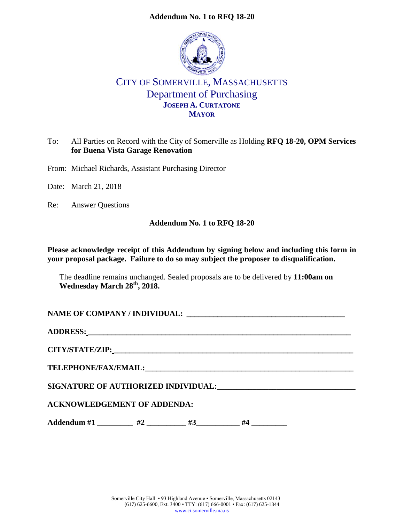#### **Addendum No. 1 to RFQ 18-20**



# CITY OF SOMERVILLE, MASSACHUSETTS Department of Purchasing **JOSEPH A. CURTATONE MAYOR**

### To: All Parties on Record with the City of Somerville as Holding **RFQ 18-20, OPM Services for Buena Vista Garage Renovation**

From: Michael Richards, Assistant Purchasing Director

Date: March 21, 2018

Re: Answer Questions

#### **Addendum No. 1 to RFQ 18-20**

#### **Please acknowledge receipt of this Addendum by signing below and including this form in your proposal package. Failure to do so may subject the proposer to disqualification.**

The deadline remains unchanged. Sealed proposals are to be delivered by **11:00am on Wednesday March 28th, 2018.**

NAME OF COMPANY / INDIVIDUAL:

**ADDRESS: \_\_\_\_\_\_\_\_\_\_\_\_\_\_\_\_\_\_\_\_\_\_\_\_\_\_\_\_\_\_\_\_\_\_\_\_\_\_\_\_\_\_\_\_\_\_\_\_\_\_\_\_\_\_\_\_\_\_\_\_\_\_\_\_\_\_\_\_**

**CITY/STATE/ZIP: \_\_\_\_\_\_\_\_\_\_\_\_\_\_\_\_\_\_\_\_\_\_\_\_\_\_\_\_\_\_\_\_\_\_\_\_\_\_\_\_\_\_\_\_\_\_\_\_\_\_\_\_\_\_\_\_\_\_\_\_\_\_**

**TELEPHONE/FAX/EMAIL:\_\_\_\_\_\_\_\_\_\_\_\_\_\_\_\_\_\_\_\_\_\_\_\_\_\_\_\_\_\_\_\_\_\_\_\_\_\_\_\_\_\_\_\_\_\_\_\_\_\_\_\_\_\_**

**SIGNATURE OF AUTHORIZED INDIVIDUAL:\_\_\_\_\_\_\_\_\_\_\_\_\_\_\_\_\_\_\_\_\_\_\_\_\_\_\_\_\_\_\_\_\_\_\_**

#### **ACKNOWLEDGEMENT OF ADDENDA:**

Addendum #1 \_\_\_\_\_\_\_\_ #2 \_\_\_\_\_\_\_\_ #3 \_\_\_\_\_\_\_ #4 \_\_\_\_\_\_\_\_